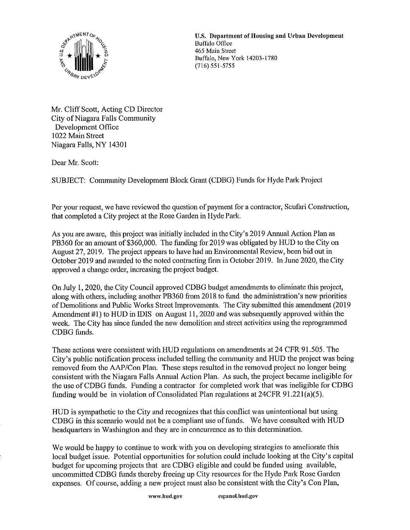

U,S, Department of Housing and Urban Development Buffalo, New York 14203-1780<br>(716) 551-5755

Mr. Cliff Scott, Acting CD Director City of Niagara Falls Community Development Office 1022 Main Street Niagara Falls, NY 14301

Dear Mr. Scott:

SUBJECT: Community Development Block Grant (CDBG) Funds for Hyde Park Project

Per your request, we have reviewed the question of payment for a contractor, Scufari Construction, that completed a City project at the Rose Garden in Hyde Park.

As you are aware, this project was initially included in the City's 2019 Annual Action Plan as PB360 for an amount of \$360,000. The funding for 2019 was obligated by HUD to the City on August 27,2019. The project appears to have had an Environmental Review, been bid out in October 2019 and awarded to the noted contracting firm in October 2019. hi June 2020, the City approved a change order, increasing the project budget.

On July 1, 2020, the City Council approved CDBG budget amendments to eliminate this project, along with others, including another PB360 from 2018 to fund the administration's new priorities of Demolitions and Public Works Street Improvements. The City submitted this amendment (2019 Amendment #1) to HUD in IDIS on August 11, 2020 and was subsequently approved within the week. The City has since funded the new demolition and street activities using the reprogrammed CDBG funds.

These actions were consistent with HUD regulations on amendments at 24 CFR 91.505. The City's public notification process included telling the community and HUD the project was being removed from the AAP/Con Plan. These steps resulted in the removed project no longer being consistent with the Niagara Falls Annual Action Plan. As such, the project became ineligible for the use ofCDBG funds. Funding a contractor for completed work that was ineligible for CDBG funding would be in violation of Consolidated Plan regulations at 24CFR 91.221(a)(5).

HUD is sympathetic to the City and recognizes that this conflict was unintentional but using CDBG in this scenario would not be a compliant use of funds. We have consulted with HUD headquarters in Washington and they are in concurrence as to this determination.

We would be happy to continue to work with you on developing strategies to ameliorate this local budget issue. Potential opportunities for solution could include looking at the City's capital budget for upcoming projects that are CDBG eligible and could be funded using available, uncommitted CDBG funds thereby freeing up City resources for the Hyde Park Rose Garden expenses. Of course, adding a new project must also be consistent with the City's Con Plan,